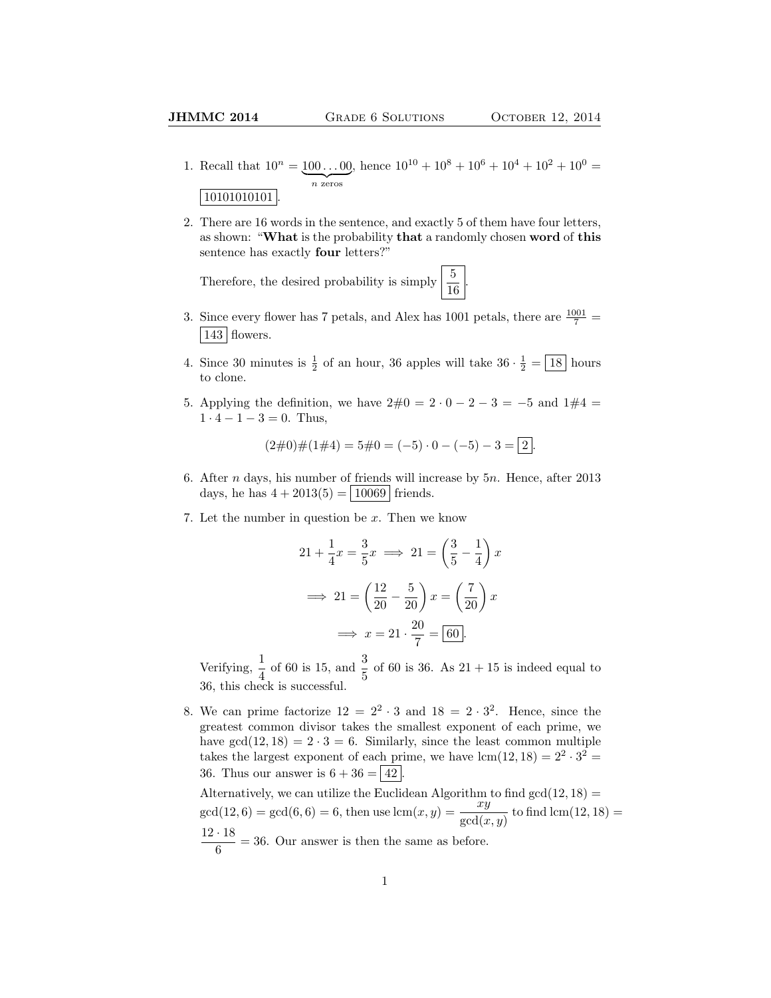- 1. Recall that  $10^n = 100...00$  $\overline{n}$  zeros , hence  $10^{10} + 10^8 + 10^6 + 10^4 + 10^2 + 10^0 =$ 10101010101
- 2. There are 16 words in the sentence, and exactly 5 of them have four letters, as shown: "What is the probability that a randomly chosen word of this sentence has exactly four letters?"

Therefore, the desired probability is simply  $\frac{5}{16}$ 

3. Since every flower has 7 petals, and Alex has 1001 petals, there are  $\frac{1001}{7}$  =  $\vert$  143  $\vert$  flowers.

.

- 4. Since 30 minutes is  $\frac{1}{2}$  of an hour, 36 apples will take  $36 \cdot \frac{1}{2} = \boxed{18}$  hours to clone.
- 5. Applying the definition, we have  $2\#0 = 2 \cdot 0 2 3 = -5$  and  $1\#4 =$  $1 \cdot 4 - 1 - 3 = 0$ . Thus,

$$
(2\#0)\#(1\#4) = 5\#0 = (-5) \cdot 0 - (-5) - 3 = 2.
$$

- 6. After  $n$  days, his number of friends will increase by  $5n$ . Hence, after 2013 days, he has  $4 + 2013(5) = |10069|$  friends.
- 7. Let the number in question be  $x$ . Then we know

$$
21 + \frac{1}{4}x = \frac{3}{5}x \implies 21 = \left(\frac{3}{5} - \frac{1}{4}\right)x
$$

$$
\implies 21 = \left(\frac{12}{20} - \frac{5}{20}\right)x = \left(\frac{7}{20}\right)x
$$

$$
\implies x = 21 \cdot \frac{20}{7} = \boxed{60}.
$$

Verifying,  $\frac{1}{4}$  of 60 is 15, and  $\frac{3}{5}$  of 60 is 36. As 21 + 15 is indeed equal to 36, this check is successful.

8. We can prime factorize  $12 = 2^2 \cdot 3$  and  $18 = 2 \cdot 3^2$ . Hence, since the greatest common divisor takes the smallest exponent of each prime, we have  $gcd(12, 18) = 2 \cdot 3 = 6$ . Similarly, since the least common multiple takes the largest exponent of each prime, we have  $lcm(12, 18) = 2^2 \cdot 3^2 =$ 36. Thus our answer is  $6 + 36 = |42|$ 

Alternatively, we can utilize the Euclidean Algorithm to find  $gcd(12, 18) =$ <br> $gcd(12, 6) = gcd(6, 6) = 6$ , then use  $lcm(x, y) = \frac{xy}{gcd(x, y)}$  to find  $lcm(12, 18) =$  $12 \cdot 18$  $\frac{1}{6}$  = 36. Our answer is then the same as before.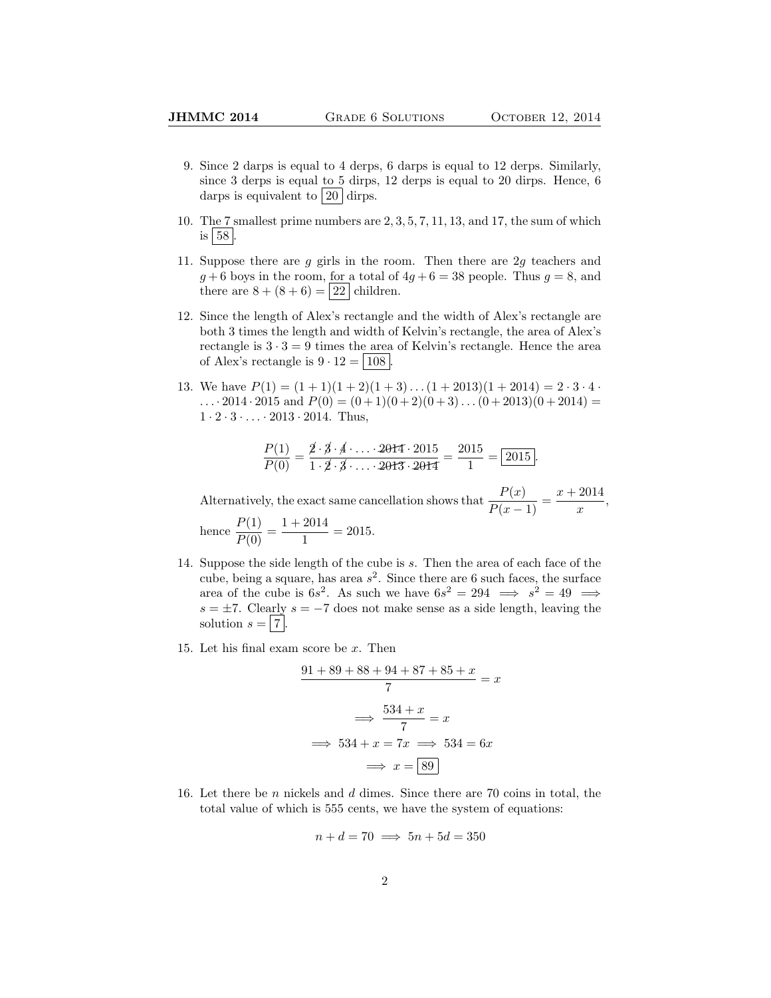- 9. Since 2 darps is equal to 4 derps, 6 darps is equal to 12 derps. Similarly, since 3 derps is equal to 5 dirps, 12 derps is equal to 20 dirps. Hence, 6 darps is equivalent to  $|20|$  dirps.
- 10. The 7 smallest prime numbers are 2, 3, 5, 7, 11, 13, and 17, the sum of which is  $|58|$ .
- 11. Suppose there are g girls in the room. Then there are 2g teachers and  $g + 6$  boys in the room, <u>for a</u> total of  $4g + 6 = 38$  people. Thus  $g = 8$ , and there are  $8 + (8 + 6) = 22$  children.
- 12. Since the length of Alex's rectangle and the width of Alex's rectangle are both 3 times the length and width of Kelvin's rectangle, the area of Alex's rectangle is  $3 \cdot 3 = 9$  times the area of Kelvin's rectangle. Hence the area of Alex's rectangle is  $9 \cdot 12 = | 108 |$ .
- 13. We have  $P(1) = (1 + 1)(1 + 2)(1 + 3)...(1 + 2013)(1 + 2014) = 2 \cdot 3 \cdot 4$ .  $\ldots$  2014 · 2015 and  $P(0) = (0+1)(0+2)(0+3)\ldots(0+2013)(0+2014) =$  $1 \cdot 2 \cdot 3 \cdot \ldots \cdot 2013 \cdot 2014$ . Thus,

$$
\frac{P(1)}{P(0)} = \frac{\cancel{2} \cdot \cancel{3} \cdot \cancel{4} \cdot \ldots \cdot 2014 \cdot 2015}{1 \cdot \cancel{2} \cdot \cancel{3} \cdot \ldots \cdot 2013 \cdot 2014} = \frac{2015}{1} = \boxed{2015}
$$

Alternatively, the exact same cancellation shows that  $\frac{P(x)}{P(x-1)} = \frac{x + 2014}{x}$  $\frac{2011}{x},$ hence  $\frac{P(1)}{P(0)} = \frac{1 + 2014}{1}$  $\frac{2011}{1} = 2015.$ 

- 14. Suppose the side length of the cube is s. Then the area of each face of the cube, being a square, has area  $s^2$ . Since there are 6 such faces, the surface area of the cube is  $6s^2$ . As such we have  $6s^2 = 294 \implies s^2 = 49 \implies$  $s = \pm 7$ . Clearly  $s = -7$  does not make sense as a side length, leaving the solution  $s = |7|$
- 15. Let his final exam score be x. Then

$$
\frac{91 + 89 + 88 + 94 + 87 + 85 + x}{7} = x
$$

$$
\implies \frac{534 + x}{7} = x
$$

$$
\implies 534 + x = 7x \implies 534 = 6x
$$

$$
\implies x = \boxed{89}
$$

16. Let there be n nickels and d dimes. Since there are 70 coins in total, the total value of which is 555 cents, we have the system of equations:

$$
n + d = 70 \implies 5n + 5d = 350
$$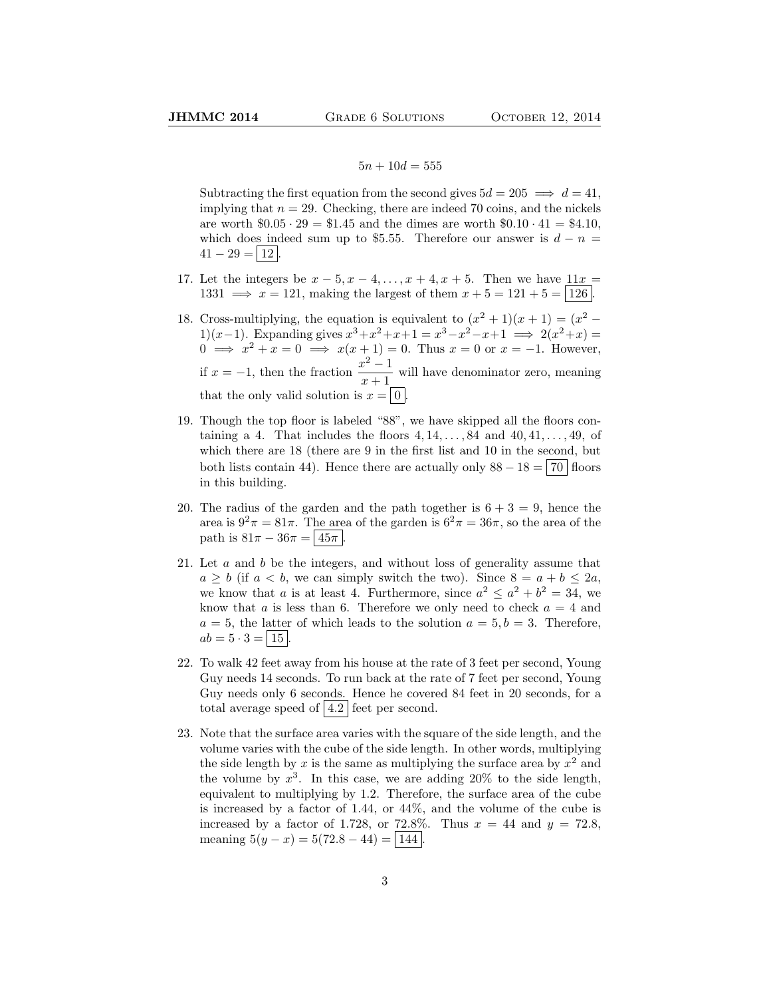## $5n + 10d = 555$

Subtracting the first equation from the second gives  $5d = 205 \implies d = 41$ , implying that  $n = 29$ . Checking, there are indeed 70 coins, and the nickels are worth  $$0.05 \cdot 29 = $1.45$  and the dimes are worth  $$0.10 \cdot 41 = $4.10$ , which does indeed sum up to \$5.55. Therefore our answer is  $d - n =$  $41 - 29 = 12$ .

- 17. Let the integers be  $x 5$ ,  $x 4$ , ...,  $x + 4$ ,  $x + 5$ . Then we have  $11x =$ 1331  $\implies x = 121$ , making the largest of them  $x + 5 = 121 + 5 = |126|$ .
- 18. Cross-multiplying, the equation is equivalent to  $(x^2 + 1)(x + 1) = (x^2 -$ 1)(x-1). Expanding gives  $x^3 + x^2 + x + 1 = x^3 - x^2 - x + 1 \implies 2(x^2 + x) =$  $0 \implies x^2 + x = 0 \implies x(x+1) = 0$ . Thus  $x = 0$  or  $x = -1$ . However, if  $x = -1$ , then the fraction  $\frac{x^2 - 1}{x-1}$  $\frac{x}{x+1}$  will have denominator zero, meaning that the only valid solution is  $x = |0|$
- 19. Though the top floor is labeled "88", we have skipped all the floors containing a 4. That includes the floors  $4, 14, \ldots, 84$  and  $40, 41, \ldots, 49$ , of which there are 18 (there are 9 in the first list and 10 in the second, but both lists contain 44). Hence there are actually only  $88 - 18 = 70$  floors in this building.
- 20. The radius of the garden and the path together is  $6 + 3 = 9$ , hence the area is  $9^2\pi = 81\pi$ . The area of the garden is  $6^2\pi = 36\pi$ , so the area of the path is  $81\pi - 36\pi = |45\pi|$ .
- 21. Let a and b be the integers, and without loss of generality assume that  $a > b$  (if  $a < b$ , we can simply switch the two). Since  $8 = a + b \leq 2a$ , we know that a is at least 4. Furthermore, since  $a^2 \le a^2 + b^2 = 34$ , we know that a is less than 6. Therefore we only need to check  $a = 4$  and  $a = 5$ , the latter of which leads to the solution  $a = 5, b = 3$ . Therefore,  $ab = 5 \cdot 3 = |15|$
- 22. To walk 42 feet away from his house at the rate of 3 feet per second, Young Guy needs 14 seconds. To run back at the rate of 7 feet per second, Young Guy needs only 6 seconds. Hence he covered 84 feet in 20 seconds, for a total average speed of  $|4.2|$  feet per second.
- 23. Note that the surface area varies with the square of the side length, and the volume varies with the cube of the side length. In other words, multiplying the side length by x is the same as multiplying the surface area by  $x^2$  and the volume by  $x^3$ . In this case, we are adding 20% to the side length, equivalent to multiplying by 1.2. Therefore, the surface area of the cube is increased by a factor of 1.44, or 44%, and the volume of the cube is increased by a factor of 1.728, or 72.8%. Thus  $x = 44$  and  $y = 72.8$ , meaning  $5(y - x) = 5(72.8 - 44) = |144|$ .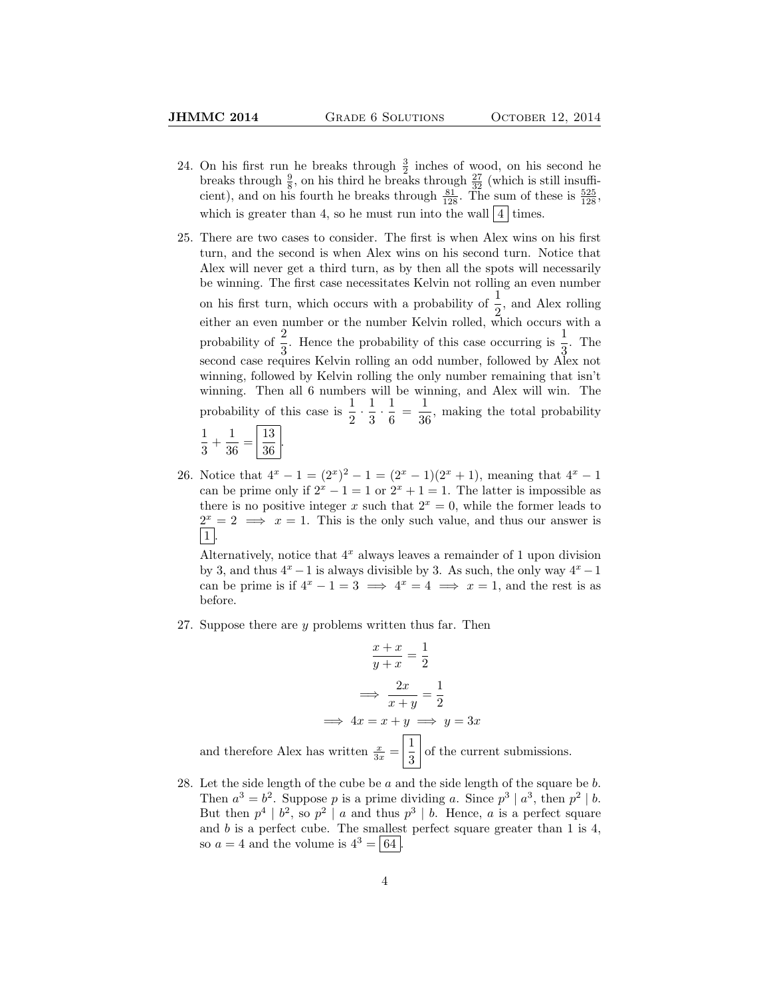- 24. On his first run he breaks through  $\frac{3}{2}$  inches of wood, on his second he breaks through  $\frac{9}{8}$ , on his third he breaks through  $\frac{27}{32}$  (which is still insufficient), and on his fourth he breaks through  $\frac{81}{128}$ . The sum of these is  $\frac{525}{128}$ , which is greater than 4, so he must run into the wall  $|4|$  times.
- 25. There are two cases to consider. The first is when Alex wins on his first turn, and the second is when Alex wins on his second turn. Notice that Alex will never get a third turn, as by then all the spots will necessarily be winning. The first case necessitates Kelvin not rolling an even number on his first turn, which occurs with a probability of  $\frac{1}{6}$ , and Alex rolling either an even number or the number Kelvin rolled, which occurs with a either an even number or the number Kelvin rolled, which occurs with a probability of  $\frac{2}{3}$ . Hence the probability of this case occurring is  $\frac{1}{3}$ . The second case requires Kelvin rolling an odd number, followed by Alex not winning, followed by Kelvin rolling the only number remaining that isn't winning. Then all 6 numbers will be winning, and Alex will win. The probability of this case is  $\frac{1}{2} \cdot \frac{1}{3}$  $\frac{1}{3} \cdot \frac{1}{6}$  $\frac{1}{6} = \frac{1}{36}$  $\frac{1}{36}$ , making the total probability 1 1 13 .

$$
\frac{1}{3} + \frac{1}{36} = \boxed{\frac{13}{36}}
$$

26. Notice that  $4^x - 1 = (2^x)^2 - 1 = (2^x - 1)(2^x + 1)$ , meaning that  $4^x - 1$ can be prime only if  $2^x - 1 = 1$  or  $2^x + 1 = 1$ . The latter is impossible as there is no positive integer x such that  $2^x = 0$ , while the former leads to  $2^x = 2 \implies x = 1$ . This is the only such value, and thus our answer is  $\vert 1 \vert$ 

Alternatively, notice that  $4^x$  always leaves a remainder of 1 upon division by 3, and thus  $4^x - 1$  is always divisible by 3. As such, the only way  $4^x - 1$ can be prime is if  $4^x - 1 = 3 \implies 4^x = 4 \implies x = 1$ , and the rest is as before.

27. Suppose there are  $y$  problems written thus far. Then

$$
\frac{x+x}{y+x} = \frac{1}{2}
$$
  
\n
$$
\implies \frac{2x}{x+y} = \frac{1}{2}
$$
  
\n
$$
\implies 4x = x + y \implies y = 3x
$$
  
\nand therefore Alex has written  $\frac{x}{3x} = \boxed{\frac{1}{3}}$  of the current submissions.

28. Let the side length of the cube be  $a$  and the side length of the square be  $b$ . Then  $a^3 = b^2$ . Suppose p is a prime dividing a. Since  $p^3 | a^3$ , then  $p^2 | b$ . But then  $p^4 \mid b^2$ , so  $p^2 \mid a$  and thus  $p^3 \mid b$ . Hence, a is a perfect square and  $b$  is a perfect cube. The smallest perfect square greater than 1 is 4, so  $a = 4$  and the volume is  $4^3 = |64|$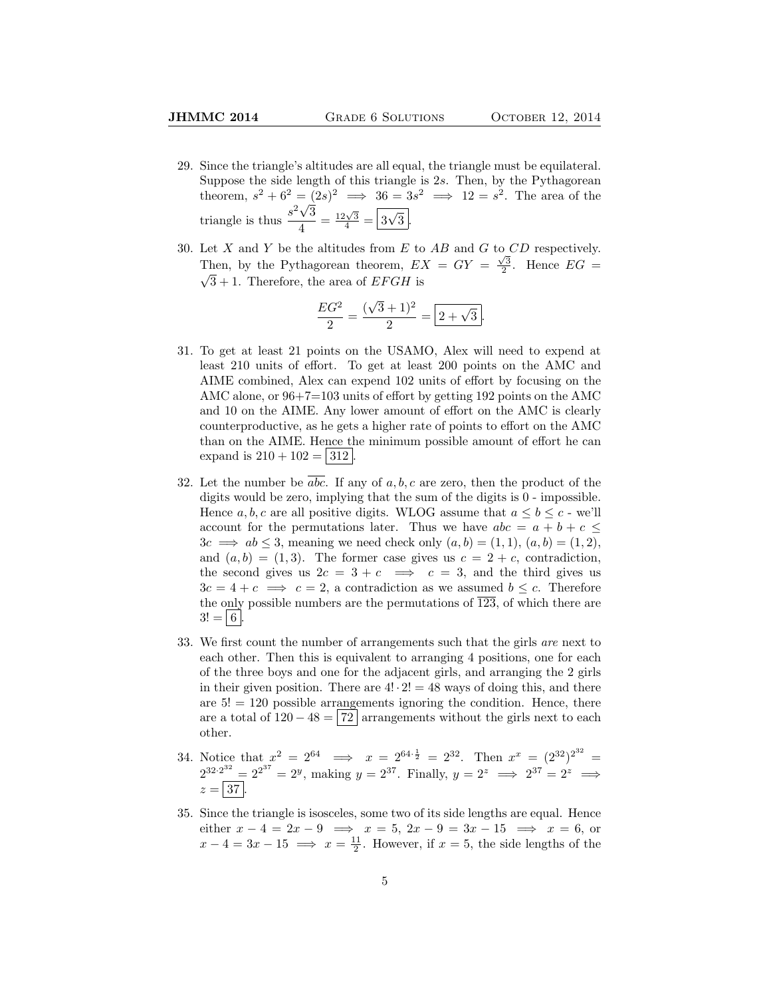- 29. Since the triangle's altitudes are all equal, the triangle must be equilateral. Suppose the side length of this triangle is 2s. Then, by the Pythagorean theorem,  $s^2 + 6^2 = (2s)^2 \implies 36 = 3s^2 \implies 12 = s^2$ . The area of the triangle is thus  $\frac{s^2\sqrt{3}}{4}$  $\frac{\sqrt{3}}{4} = \frac{12\sqrt{3}}{4} = \boxed{3}$ √  $3<sup>2</sup>$ .
- 30. Let X and Y be the altitudes from E to AB and G to  $CD$  respectively. Then, by the Pythagorean theorem,  $EX = GY = \frac{\sqrt{3}}{2}$ . Hence  $EG = \sqrt{3}$  $\sqrt{3} + 1$ . Therefore, the area of *EFGH* is

$$
\frac{EG^2}{2} = \frac{(\sqrt{3} + 1)^2}{2} = \boxed{2 + \sqrt{3}}.
$$

- 31. To get at least 21 points on the USAMO, Alex will need to expend at least 210 units of effort. To get at least 200 points on the AMC and AIME combined, Alex can expend 102 units of effort by focusing on the AMC alone, or 96+7=103 units of effort by getting 192 points on the AMC and 10 on the AIME. Any lower amount of effort on the AMC is clearly counterproductive, as he gets a higher rate of points to effort on the AMC than on the AIME. Hence the minimum possible amount of effort he can expand is  $210 + 102 = |312|$ .
- 32. Let the number be abc. If any of  $a, b, c$  are zero, then the product of the digits would be zero, implying that the sum of the digits is 0 - impossible. Hence  $a, b, c$  are all positive digits. WLOG assume that  $a \leq b \leq c$  - we'll account for the permutations later. Thus we have  $abc = a + b + c \leq$  $3c \implies ab \leq 3$ , meaning we need check only  $(a, b) = (1, 1), (a, b) = (1, 2),$ and  $(a, b) = (1, 3)$ . The former case gives us  $c = 2 + c$ , contradiction, the second gives us  $2c = 3 + c \implies c = 3$ , and the third gives us  $3c = 4 + c \implies c = 2$ , a contradiction as we assumed  $b \leq c$ . Therefore the only possible numbers are the permutations of  $\overline{123}$ , of which there are  $3! = | 6 |$
- 33. We first count the number of arrangements such that the girls are next to each other. Then this is equivalent to arranging 4 positions, one for each of the three boys and one for the adjacent girls, and arranging the 2 girls in their given position. There are  $4! \cdot 2! = 48$  ways of doing this, and there are  $5! = 120$  possible arrangements ignoring the condition. Hence, there are a total of  $120 - 48 = 72$  arrangements without the girls next to each other.
- 34. Notice that  $x^2 = 2^{64} \implies x = 2^{64 \cdot \frac{1}{2}} = 2^{32}$ . Then  $x^x = (2^{32})^{2^{32}} =$  $2^{32 \cdot 2^{32}} = 2^{2^{37}} = 2^y$ , making  $y = 2^{37}$ . Finally,  $y = 2^z \implies 2^{37} = 2^z \implies$  $z = |37|$
- 35. Since the triangle is isosceles, some two of its side lengths are equal. Hence either  $x - 4 = 2x - 9 \implies x = 5, 2x - 9 = 3x - 15 \implies x = 6$ , or  $x - 4 = 3x - 15 \implies x = \frac{11}{2}$ . However, if  $x = 5$ , the side lengths of the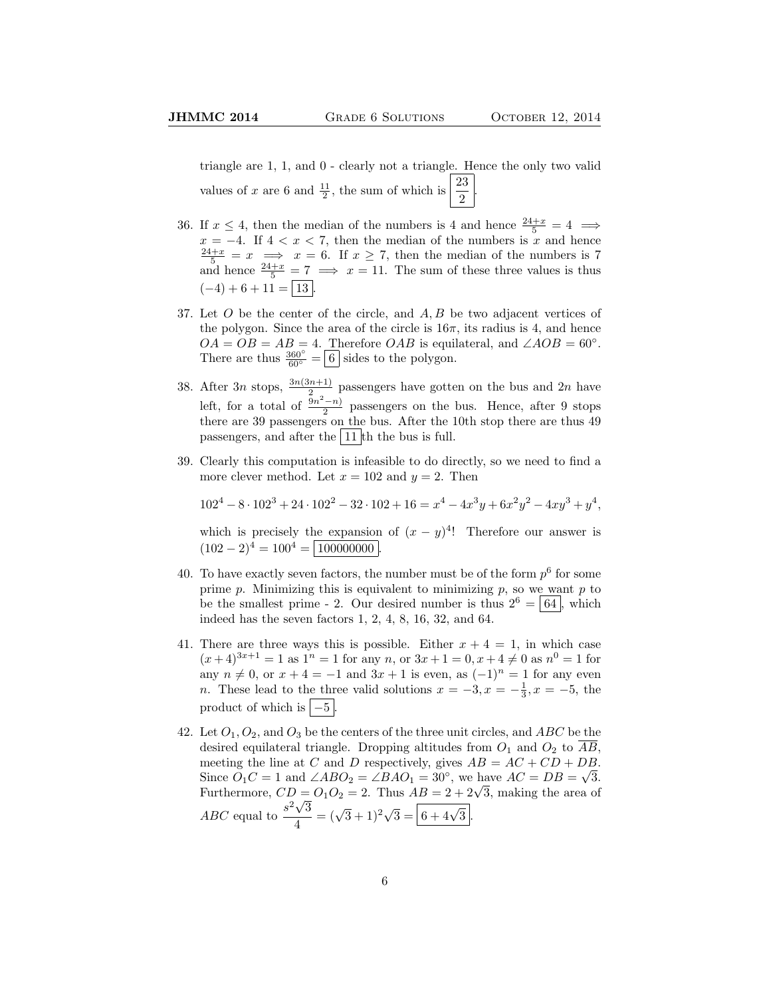triangle are 1, 1, and 0 - clearly not a triangle. Hence the only two valid values of x are 6 and  $\frac{11}{2}$ , the sum of which is  $\frac{23}{2}$ .

- 36. If  $x \leq 4$ , then the median of the numbers is 4 and hence  $\frac{24+x}{5} = 4 \implies$  $x = -4$ . If  $4 < x < 7$ , then the median of the numbers is x and hence  $\frac{24+x}{5} = x \implies x = 6$ . If  $x \ge 7$ , then the median of the numbers is 7 and hence  $\frac{24+x}{5} = 7 \implies x = 11$ . The sum of these three values is thus  $(-4) + 6 + 11 = \boxed{13}$
- 37. Let  $O$  be the center of the circle, and  $A, B$  be two adjacent vertices of the polygon. Since the area of the circle is  $16\pi$ , its radius is 4, and hence  $OA = OB = AB = 4$ . Therefore OAB is equilateral, and  $\angle AOB = 60^{\circ}$ . There are thus  $\frac{360^{\circ}}{60^{\circ}} = \boxed{6}$  sides to the polygon.
- 38. After 3n stops,  $\frac{3n(3n+1)}{2}$  passengers have gotten on the bus and 2n have left, for a total of  $\frac{9n^2-n}{2}$  $\frac{(-n)}{2}$  passengers on the bus. Hence, after 9 stops there are 39 passengers on the bus. After the 10th stop there are thus 49 passengers, and after the  $|11|$ th the bus is full.
- 39. Clearly this computation is infeasible to do directly, so we need to find a more clever method. Let  $x = 102$  and  $y = 2$ . Then

 $102^4 - 8 \cdot 102^3 + 24 \cdot 102^2 - 32 \cdot 102 + 16 = x^4 - 4x^3y + 6x^2y^2 - 4xy^3 + y^4$ 

which is precisely the expansion of  $(x - y)^4$ ! Therefore our answer is  $(102 - 2)^4 = 100^4 = | 100000000 |$ 

- 40. To have exactly seven factors, the number must be of the form  $p^6$  for some prime p. Minimizing this is equivalent to minimizing  $p$ , so we want  $p$  to be the smallest prime - 2. Our desired number is thus  $2^6 = 64$ , which indeed has the seven factors 1, 2, 4, 8, 16, 32, and 64.
- 41. There are three ways this is possible. Either  $x + 4 = 1$ , in which case  $(x+4)^{3x+1} = 1$  as  $1^n = 1$  for any n, or  $3x+1=0, x+4 \neq 0$  as  $n^0 = 1$  for any  $n \neq 0$ , or  $x + 4 = -1$  and  $3x + 1$  is even, as  $(-1)^n = 1$  for any even n. These lead to the three valid solutions  $x = -3, x = -\frac{1}{3}, x = -5$ , the product of which is  $|-5|$ .
- 42. Let  $O_1$ ,  $O_2$ , and  $O_3$  be the centers of the three unit circles, and ABC be the desired equilateral triangle. Dropping altitudes from  $O_1$  and  $O_2$  to  $\overline{AB}$ , meeting the line at C and D respectively, gives  $AB = AC + CD + DB$ . Since  $\hat{O}_1C = 1$  and  $\angle ABO_2 = \angle BAO_1 = 30^\circ$ , we have  $AC = DB = \sqrt{3}$ .<br>Furthermore,  $CD = O_1O_2 = 2$ . Thus  $AB = 2 + 2\sqrt{3}$ , making the area of ABC equal to  $\frac{s^2\sqrt{3}}{4}$  $\frac{\sqrt{3}}{4} = (\sqrt{3} + 1)^2 \sqrt{3} = \boxed{6 + 4\sqrt{3}}.$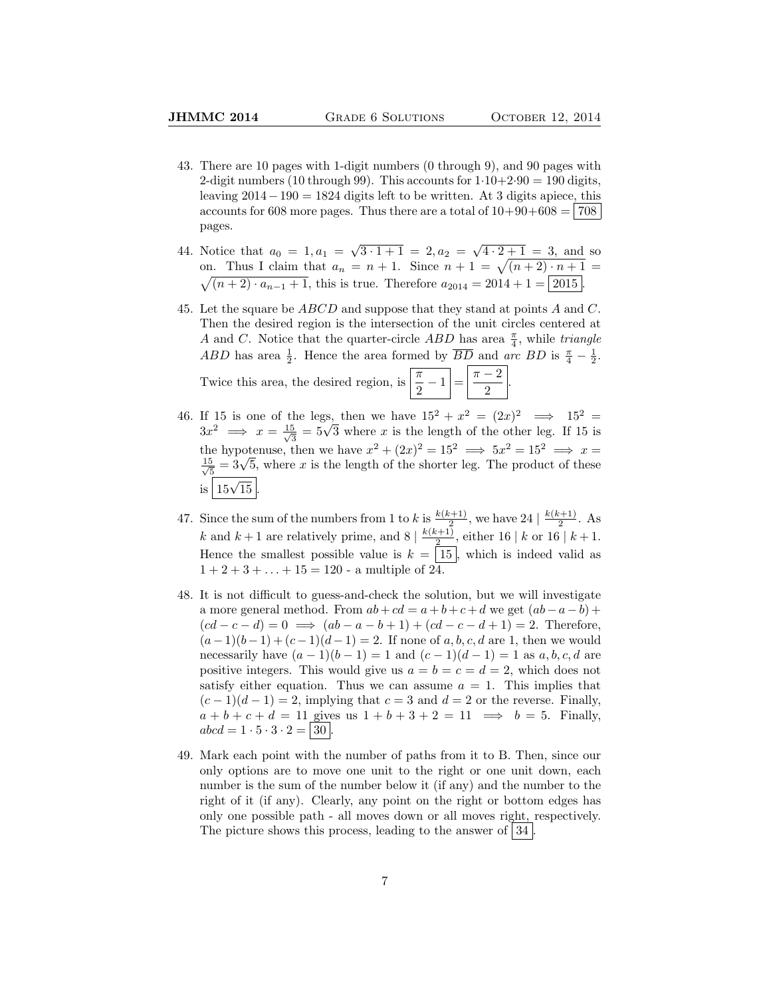- 43. There are 10 pages with 1-digit numbers (0 through 9), and 90 pages with 2-digit numbers (10 through 99). This accounts for  $1 \cdot 10 + 2 \cdot 90 = 190$  digits, leaving  $2014-190 = 1824$  digits left to be written. At 3 digits apiece, this accounts for 608 more pages. Thus there are a total of  $10+90+608 = 708$ pages.
- 44. Notice that  $a_0 = 1, a_1 = \sqrt{3 \cdot 1 + 1} = 2, a_2 = \sqrt{4 \cdot 2 + 1} = 3$ , and so on. Thus I claim that  $a_n = n + 1$ . Since  $n + 1 = \sqrt{(n + 2) \cdot n + 1}$  $\sqrt{(n+2)\cdot a_{n-1}+1}$ , this is true. Therefore  $a_{2014} = 2014 + 1 = |2015|$ .
- 45. Let the square be  $ABCD$  and suppose that they stand at points A and C. Then the desired region is the intersection of the unit circles centered at A and C. Notice that the quarter-circle ABD has area  $\frac{\pi}{4}$ , while *triangle* ABD has area  $\frac{1}{2}$ . Hence the area formed by  $\overline{BD}$  and arc BD is  $\frac{\pi}{4} - \frac{1}{2}$ . Twice this area, the desired region, is  $\boxed{\frac{\pi}{2} - 1} = \boxed{\frac{\pi - 2}{2}}$  $\frac{2}{2}$ .
- 46. If 15 is one of the legs, then we have  $15^2 + x^2 = (2x)^2 \implies 15^2 =$  $3x^2 \implies x = \frac{15}{\sqrt{3}}$ the legs, then we have  $15^2 + x^2 = (2x)^2 \implies 15^2 = \frac{5}{3} = 5\sqrt{3}$  where x is the length of the other leg. If 15 is the hypotenuse, then we have  $x^2 + (2x)^2 = 15^2 \implies 5x^2 = 15^2 \implies x =$  $\frac{15}{5}$ the hypotenuse, then we have  $x^2 + (2x)^2 = 15^2 \implies 3x^2 = 15^2 \implies x = \frac{5}{5} = 3\sqrt{5}$ , where x is the length of the shorter leg. The product of these  $\frac{15}{15\sqrt{15}}$ .
- 47. Since the sum of the numbers from 1 to k is  $\frac{k(k+1)}{2}$ , we have 24  $\frac{k(k+1)}{2}$  $\frac{(n+1)}{2}$ . As k and  $k+1$  are relatively prime, and  $8 \mid \frac{k(k+1)}{2}$  $\frac{k+1}{2}$ , either 16 | k or 16 | k + 1. Hence the smallest possible value is  $k = \lfloor 15 \rfloor$ , which is indeed valid as  $1 + 2 + 3 + \ldots + 15 = 120$  - a multiple of 24.
- 48. It is not difficult to guess-and-check the solution, but we will investigate a more general method. From  $ab + cd = a + b + c + d$  we get  $(ab - a - b) +$  $(cd - c - d) = 0 \implies (ab - a - b + 1) + (cd - c - d + 1) = 2$ . Therefore,  $(a-1)(b-1)+(c-1)(d-1)=2$ . If none of a, b, c, d are 1, then we would necessarily have  $(a - 1)(b - 1) = 1$  and  $(c - 1)(d - 1) = 1$  as  $a, b, c, d$  are positive integers. This would give us  $a = b = c = d = 2$ , which does not satisfy either equation. Thus we can assume  $a = 1$ . This implies that  $(c-1)(d-1) = 2$ , implying that  $c = 3$  and  $d = 2$  or the reverse. Finally,  $a + b + c + d = 11$  gives us  $1 + b + 3 + 2 = 11 \implies b = 5$ . Finally,  $abcd = 1 \cdot 5 \cdot 3 \cdot 2 = |30|$
- 49. Mark each point with the number of paths from it to B. Then, since our only options are to move one unit to the right or one unit down, each number is the sum of the number below it (if any) and the number to the right of it (if any). Clearly, any point on the right or bottom edges has only one possible path - all moves down or all moves right, respectively. The picture shows this process, leading to the answer of  $|34|$